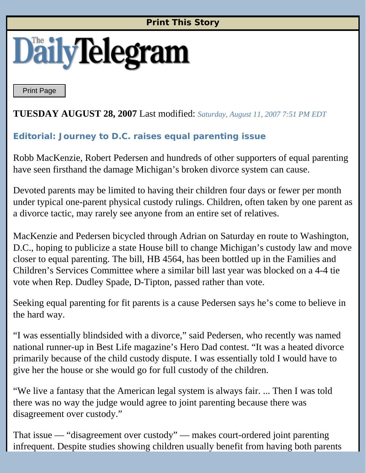## **Print This Story**



Print Page

## **TUESDAY AUGUST 28, 2007** Last modified: *Saturday, August 11, 2007 7:51 PM EDT*

## **Editorial: Journey to D.C. raises equal parenting issue**

Robb MacKenzie, Robert Pedersen and hundreds of other supporters of equal parenting have seen firsthand the damage Michigan's broken divorce system can cause.

Devoted parents may be limited to having their children four days or fewer per month under typical one-parent physical custody rulings. Children, often taken by one parent as a divorce tactic, may rarely see anyone from an entire set of relatives.

MacKenzie and Pedersen bicycled through Adrian on Saturday en route to Washington, D.C., hoping to publicize a state House bill to change Michigan's custody law and move closer to equal parenting. The bill, HB 4564, has been bottled up in the Families and Children's Services Committee where a similar bill last year was blocked on a 4-4 tie vote when Rep. Dudley Spade, D-Tipton, passed rather than vote.

Seeking equal parenting for fit parents is a cause Pedersen says he's come to believe in the hard way.

"I was essentially blindsided with a divorce," said Pedersen, who recently was named national runner-up in Best Life magazine's Hero Dad contest. "It was a heated divorce primarily because of the child custody dispute. I was essentially told I would have to give her the house or she would go for full custody of the children.

"We live a fantasy that the American legal system is always fair. ... Then I was told there was no way the judge would agree to joint parenting because there was disagreement over custody."

That issue — "disagreement over custody" — makes court-ordered joint parenting infrequent. Despite studies showing children usually benefit from having both parents